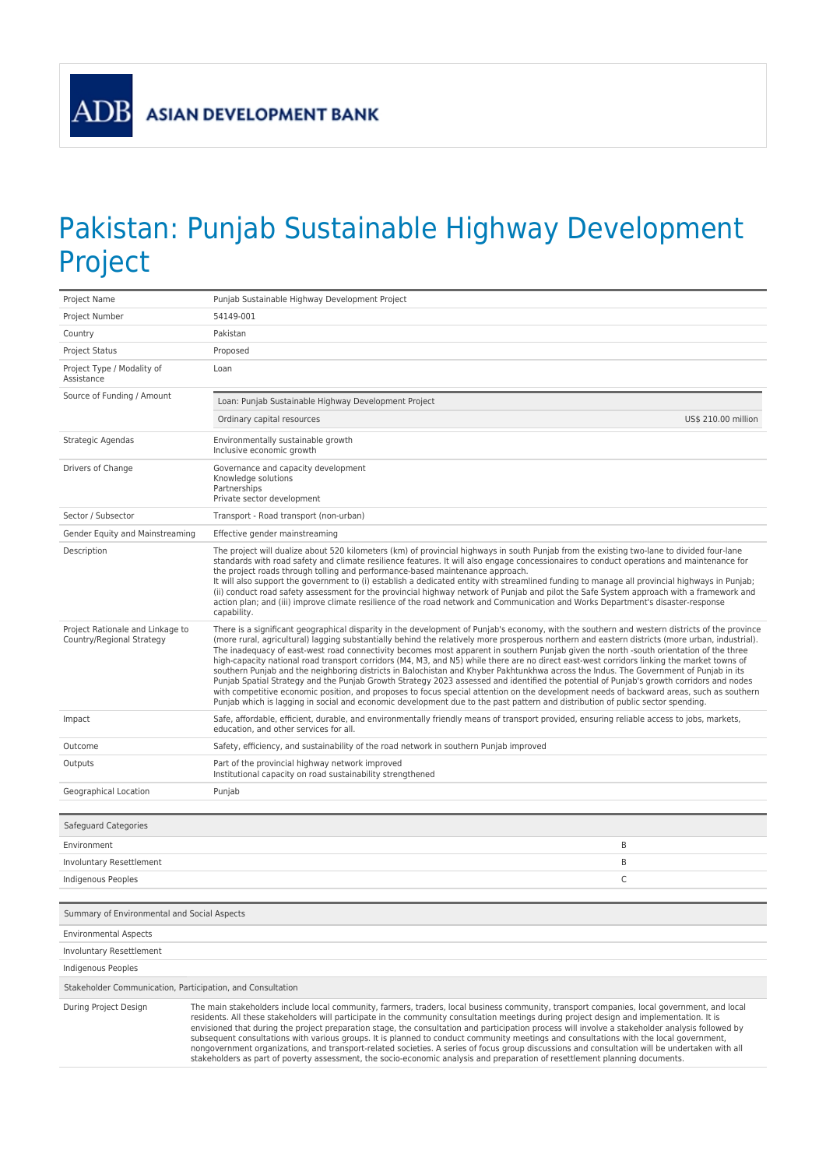ADB

## Pakistan: Punjab Sustainable Highway Development Project

| Project Name                                                  | Punjab Sustainable Highway Development Project                                                                                                                                                                                                                                                                                                                                                                                                                                                                                                                                                                                                                                                                                                                                                                                                                                                                                                                                                                                                                                                                                                              |
|---------------------------------------------------------------|-------------------------------------------------------------------------------------------------------------------------------------------------------------------------------------------------------------------------------------------------------------------------------------------------------------------------------------------------------------------------------------------------------------------------------------------------------------------------------------------------------------------------------------------------------------------------------------------------------------------------------------------------------------------------------------------------------------------------------------------------------------------------------------------------------------------------------------------------------------------------------------------------------------------------------------------------------------------------------------------------------------------------------------------------------------------------------------------------------------------------------------------------------------|
| Project Number                                                | 54149-001                                                                                                                                                                                                                                                                                                                                                                                                                                                                                                                                                                                                                                                                                                                                                                                                                                                                                                                                                                                                                                                                                                                                                   |
| Country                                                       | Pakistan                                                                                                                                                                                                                                                                                                                                                                                                                                                                                                                                                                                                                                                                                                                                                                                                                                                                                                                                                                                                                                                                                                                                                    |
| <b>Project Status</b>                                         | Proposed                                                                                                                                                                                                                                                                                                                                                                                                                                                                                                                                                                                                                                                                                                                                                                                                                                                                                                                                                                                                                                                                                                                                                    |
| Project Type / Modality of<br>Assistance                      | Loan                                                                                                                                                                                                                                                                                                                                                                                                                                                                                                                                                                                                                                                                                                                                                                                                                                                                                                                                                                                                                                                                                                                                                        |
| Source of Funding / Amount                                    | Loan: Punjab Sustainable Highway Development Project                                                                                                                                                                                                                                                                                                                                                                                                                                                                                                                                                                                                                                                                                                                                                                                                                                                                                                                                                                                                                                                                                                        |
|                                                               | Ordinary capital resources<br>US\$ 210.00 million                                                                                                                                                                                                                                                                                                                                                                                                                                                                                                                                                                                                                                                                                                                                                                                                                                                                                                                                                                                                                                                                                                           |
| Strategic Agendas                                             | Environmentally sustainable growth<br>Inclusive economic growth                                                                                                                                                                                                                                                                                                                                                                                                                                                                                                                                                                                                                                                                                                                                                                                                                                                                                                                                                                                                                                                                                             |
| Drivers of Change                                             | Governance and capacity development<br>Knowledge solutions<br>Partnerships<br>Private sector development                                                                                                                                                                                                                                                                                                                                                                                                                                                                                                                                                                                                                                                                                                                                                                                                                                                                                                                                                                                                                                                    |
| Sector / Subsector                                            | Transport - Road transport (non-urban)                                                                                                                                                                                                                                                                                                                                                                                                                                                                                                                                                                                                                                                                                                                                                                                                                                                                                                                                                                                                                                                                                                                      |
| Gender Equity and Mainstreaming                               | Effective gender mainstreaming                                                                                                                                                                                                                                                                                                                                                                                                                                                                                                                                                                                                                                                                                                                                                                                                                                                                                                                                                                                                                                                                                                                              |
| Description                                                   | The project will dualize about 520 kilometers (km) of provincial highways in south Punjab from the existing two-lane to divided four-lane<br>standards with road safety and climate resilience features. It will also engage concessionaires to conduct operations and maintenance for<br>the project roads through tolling and performance-based maintenance approach.<br>It will also support the government to (i) establish a dedicated entity with streamlined funding to manage all provincial highways in Punjab;<br>(ii) conduct road safety assessment for the provincial highway network of Punjab and pilot the Safe System approach with a framework and<br>action plan; and (iii) improve climate resilience of the road network and Communication and Works Department's disaster-response<br>capability.                                                                                                                                                                                                                                                                                                                                     |
| Project Rationale and Linkage to<br>Country/Regional Strategy | There is a significant geographical disparity in the development of Punjab's economy, with the southern and western districts of the province<br>(more rural, agricultural) lagging substantially behind the relatively more prosperous northern and eastern districts (more urban, industrial).<br>The inadequacy of east-west road connectivity becomes most apparent in southern Punjab given the north -south orientation of the three<br>high-capacity national road transport corridors (M4, M3, and N5) while there are no direct east-west corridors linking the market towns of<br>southern Punjab and the neighboring districts in Balochistan and Khyber Pakhtunkhwa across the Indus. The Government of Punjab in its<br>Punjab Spatial Strategy and the Punjab Growth Strategy 2023 assessed and identified the potential of Punjab's growth corridors and nodes<br>with competitive economic position, and proposes to focus special attention on the development needs of backward areas, such as southern<br>Punjab which is lagging in social and economic development due to the past pattern and distribution of public sector spending. |
| Impact                                                        | Safe, affordable, efficient, durable, and environmentally friendly means of transport provided, ensuring reliable access to jobs, markets,<br>education, and other services for all.                                                                                                                                                                                                                                                                                                                                                                                                                                                                                                                                                                                                                                                                                                                                                                                                                                                                                                                                                                        |
| Outcome                                                       | Safety, efficiency, and sustainability of the road network in southern Punjab improved                                                                                                                                                                                                                                                                                                                                                                                                                                                                                                                                                                                                                                                                                                                                                                                                                                                                                                                                                                                                                                                                      |
| Outputs                                                       | Part of the provincial highway network improved<br>Institutional capacity on road sustainability strengthened                                                                                                                                                                                                                                                                                                                                                                                                                                                                                                                                                                                                                                                                                                                                                                                                                                                                                                                                                                                                                                               |
| Geographical Location                                         | Punjab                                                                                                                                                                                                                                                                                                                                                                                                                                                                                                                                                                                                                                                                                                                                                                                                                                                                                                                                                                                                                                                                                                                                                      |
|                                                               |                                                                                                                                                                                                                                                                                                                                                                                                                                                                                                                                                                                                                                                                                                                                                                                                                                                                                                                                                                                                                                                                                                                                                             |
| Safeguard Categories                                          |                                                                                                                                                                                                                                                                                                                                                                                                                                                                                                                                                                                                                                                                                                                                                                                                                                                                                                                                                                                                                                                                                                                                                             |
| Environment                                                   | B                                                                                                                                                                                                                                                                                                                                                                                                                                                                                                                                                                                                                                                                                                                                                                                                                                                                                                                                                                                                                                                                                                                                                           |
| Involuntary Resettlement                                      | B                                                                                                                                                                                                                                                                                                                                                                                                                                                                                                                                                                                                                                                                                                                                                                                                                                                                                                                                                                                                                                                                                                                                                           |
| Indigenous Peoples                                            | C                                                                                                                                                                                                                                                                                                                                                                                                                                                                                                                                                                                                                                                                                                                                                                                                                                                                                                                                                                                                                                                                                                                                                           |
| Summary of Environmental and Social Aspects                   |                                                                                                                                                                                                                                                                                                                                                                                                                                                                                                                                                                                                                                                                                                                                                                                                                                                                                                                                                                                                                                                                                                                                                             |
| <b>Environmental Aspects</b>                                  |                                                                                                                                                                                                                                                                                                                                                                                                                                                                                                                                                                                                                                                                                                                                                                                                                                                                                                                                                                                                                                                                                                                                                             |
| Involuntary Resettlement                                      |                                                                                                                                                                                                                                                                                                                                                                                                                                                                                                                                                                                                                                                                                                                                                                                                                                                                                                                                                                                                                                                                                                                                                             |
| Indigenous Peoples                                            |                                                                                                                                                                                                                                                                                                                                                                                                                                                                                                                                                                                                                                                                                                                                                                                                                                                                                                                                                                                                                                                                                                                                                             |
| Stakeholder Communication, Participation, and Consultation    |                                                                                                                                                                                                                                                                                                                                                                                                                                                                                                                                                                                                                                                                                                                                                                                                                                                                                                                                                                                                                                                                                                                                                             |
| During Project Design                                         | The main stakeholders include local community, farmers, traders, local business community, transport companies, local government, and local<br>residents. All these stakeholders will participate in the community consultation meetings during project design and implementation. It is<br>envisioned that during the project preparation stage, the consultation and participation process will involve a stakeholder analysis followed by<br>subsequent consultations with various groups. It is planned to conduct community meetings and consultations with the local government,<br>nongovernment organizations, and transport-related societies. A series of focus group discussions and consultation will be undertaken with all<br>stakeholders as part of poverty assessment, the socio-economic analysis and preparation of resettlement planning documents.                                                                                                                                                                                                                                                                                     |